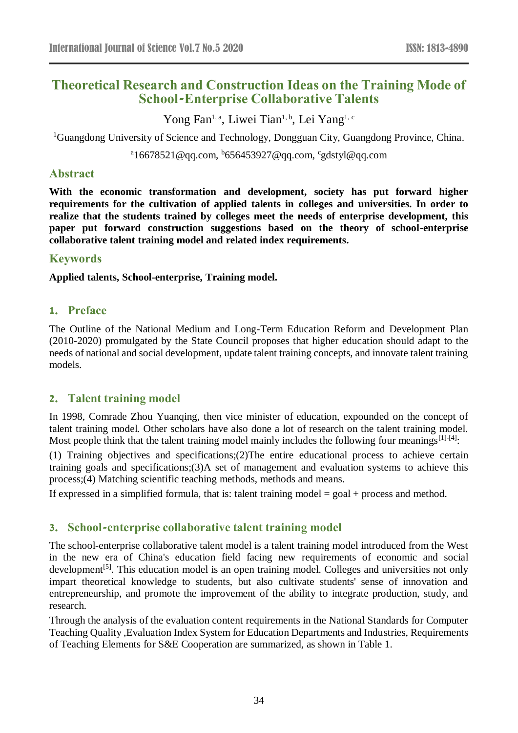# **Theoretical Research and Construction Ideas on the Training Mode of School-Enterprise Collaborative Talents**

Yong Fan<sup>1, a</sup>, Liwei Tian<sup>1, b</sup>, Lei Yang<sup>1, c</sup>

<sup>1</sup>Guangdong University of Science and Technology, Dongguan City, Guangdong Province, China.

<sup>a</sup>16678521@qq.com, <sup>b</sup>656453927@qq.com, <sup>c</sup>gdstyl@qq.com

#### **Abstract**

**With the economic transformation and development, society has put forward higher requirements for the cultivation of applied talents in colleges and universities. In order to realize that the students trained by colleges meet the needs of enterprise development, this paper put forward construction suggestions based on the theory of school-enterprise collaborative talent training model and related index requirements.**

## **Keywords**

**Applied talents, School-enterprise, Training model.**

## **1. Preface**

The Outline of the National Medium and Long-Term Education Reform and Development Plan (2010-2020) promulgated by the State Council proposes that higher education should adapt to the needs of national and social development, update talent training concepts, and innovate talent training models.

## **2. Talent training model**

In 1998, Comrade Zhou Yuanqing, then vice minister of education, expounded on the concept of talent training model. Other scholars have also done a lot of research on the talent training model. Most people think that the talent training model mainly includes the following four meanings<sup>[1]-[4]</sup>:

(1) Training objectives and specifications;(2)The entire educational process to achieve certain training goals and specifications;(3)A set of management and evaluation systems to achieve this process;(4) Matching scientific teaching methods, methods and means.

If expressed in a simplified formula, that is: talent training model  $=$  goal  $+$  process and method.

## **3. School-enterprise collaborative talent training model**

The school-enterprise collaborative talent model is a talent training model introduced from the West in the new era of China's education field facing new requirements of economic and social development<sup>[5]</sup>. This education model is an open training model. Colleges and universities not only impart theoretical knowledge to students, but also cultivate students' sense of innovation and entrepreneurship, and promote the improvement of the ability to integrate production, study, and research.

Through the analysis of the evaluation content requirements in the National Standards for Computer Teaching Quality ,Evaluation Index System for Education Departments and Industries, Requirements of Teaching Elements for S&E Cooperation are summarized, as shown in Table 1.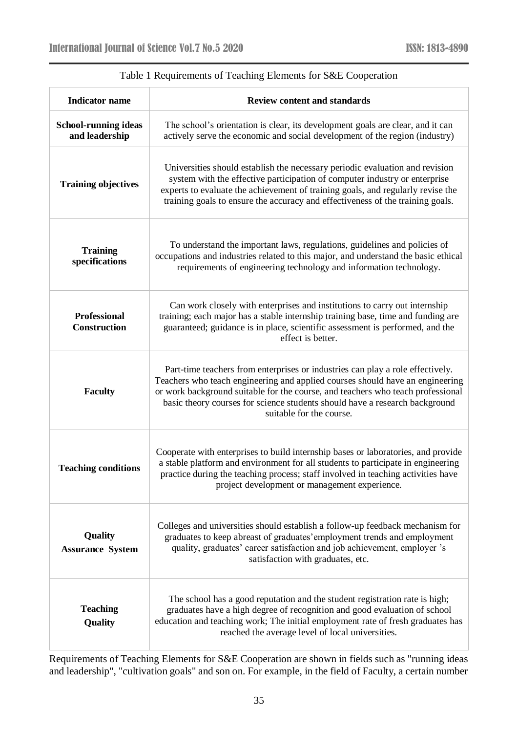| <b>Indicator</b> name                         | <b>Review content and standards</b>                                                                                                                                                                                                                                                                                                                           |
|-----------------------------------------------|---------------------------------------------------------------------------------------------------------------------------------------------------------------------------------------------------------------------------------------------------------------------------------------------------------------------------------------------------------------|
| <b>School-running ideas</b><br>and leadership | The school's orientation is clear, its development goals are clear, and it can<br>actively serve the economic and social development of the region (industry)                                                                                                                                                                                                 |
| <b>Training objectives</b>                    | Universities should establish the necessary periodic evaluation and revision<br>system with the effective participation of computer industry or enterprise<br>experts to evaluate the achievement of training goals, and regularly revise the<br>training goals to ensure the accuracy and effectiveness of the training goals.                               |
| <b>Training</b><br>specifications             | To understand the important laws, regulations, guidelines and policies of<br>occupations and industries related to this major, and understand the basic ethical<br>requirements of engineering technology and information technology.                                                                                                                         |
| <b>Professional</b><br><b>Construction</b>    | Can work closely with enterprises and institutions to carry out internship<br>training; each major has a stable internship training base, time and funding are<br>guaranteed; guidance is in place, scientific assessment is performed, and the<br>effect is better.                                                                                          |
| <b>Faculty</b>                                | Part-time teachers from enterprises or industries can play a role effectively.<br>Teachers who teach engineering and applied courses should have an engineering<br>or work background suitable for the course, and teachers who teach professional<br>basic theory courses for science students should have a research background<br>suitable for the course. |
| <b>Teaching conditions</b>                    | Cooperate with enterprises to build internship bases or laboratories, and provide<br>a stable platform and environment for all students to participate in engineering<br>practice during the teaching process; staff involved in teaching activities have<br>project development or management experience.                                                    |
| Quality<br><b>Assurance System</b>            | Colleges and universities should establish a follow-up feedback mechanism for<br>graduates to keep abreast of graduates' employment trends and employment<br>quality, graduates' career satisfaction and job achievement, employer 's<br>satisfaction with graduates, etc.                                                                                    |
| <b>Teaching</b><br>Quality                    | The school has a good reputation and the student registration rate is high;<br>graduates have a high degree of recognition and good evaluation of school<br>education and teaching work; The initial employment rate of fresh graduates has<br>reached the average level of local universities.                                                               |

# Table 1 Requirements of Teaching Elements for S&E Cooperation

Requirements of Teaching Elements for S&E Cooperation are shown in fields such as "running ideas and leadership", "cultivation goals" and son on. For example, in the field of Faculty, a certain number